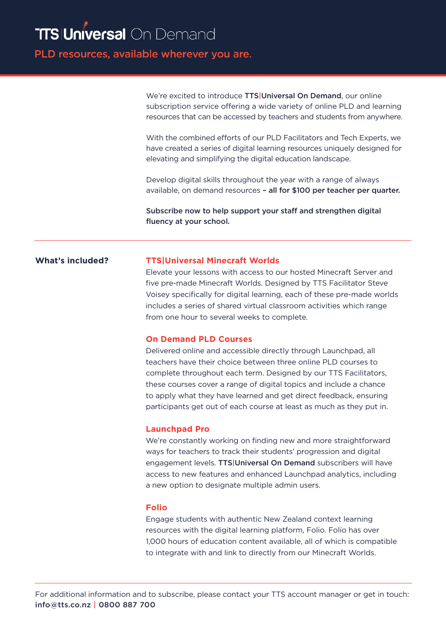PLD resources, available wherever you are.

We're excited to introduce **TTS|Universal On Demand**, our online subscription service offering a wide variety of online PLD and learning resources that can be accessed by teachers and students from anywhere.

With the combined efforts of our PLD Facilitators and Tech Experts, we have created a series of digital learning resources uniquely designed for elevating and simplifying the digital education landscape.

Develop digital skills throughout the year with a range of always available, on demand resources – all for \$100 per teacher per quarter.

Subscribe now to help support your staff and strengthen digital fluency at your school.

# **What's included?**

## **TTS|Universal Minecraft Worlds**

Elevate your lessons with access to our hosted Minecraft Server and five pre-made Minecraft Worlds. Designed by TTS Facilitator Steve Voisey specifically for digital learning, each of these pre-made worlds includes a series of shared virtual classroom activities which range from one hour to several weeks to complete.

### **On Demand PLD Courses**

Delivered online and accessible directly through Launchpad, all teachers have their choice between three online PLD courses to complete throughout each term. Designed by our TTS Facilitators, these courses cover a range of digital topics and include a chance to apply what they have learned and get direct feedback, ensuring participants get out of each course at least as much as they put in.

### **Launchpad Pro**

We're constantly working on finding new and more straightforward ways for teachers to track their students' progression and digital engagement levels. TTS Universal On Demand subscribers will have access to new features and enhanced Launchpad analytics, including a new option to designate multiple admin users.

### **Folio**

Engage students with authentic New Zealand context learning resources with the digital learning platform, Folio. Folio has over 1,000 hours of education content available, all of which is compatible to integrate with and link to directly from our Minecraft Worlds.